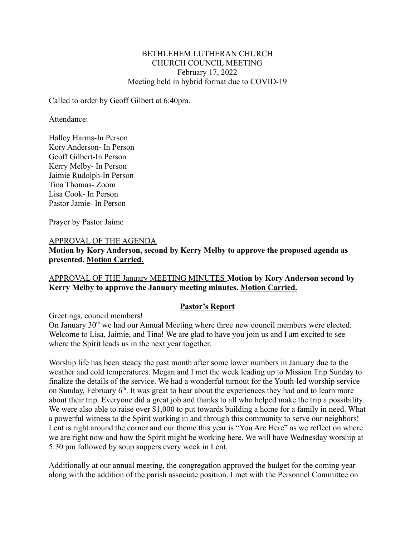#### BETHLEHEM LUTHERAN CHURCH CHURCH COUNCIL MEETING February 17, 2022 Meeting held in hybrid format due to COVID-19

Called to order by Geoff Gilbert at 6:40pm.

Attendance:

Halley Harms-In Person Kory Anderson- In Person Geoff Gilbert-In Person Kerry Melby- In Person Jaimie Rudolph-In Person Tina Thomas- Zoom Lisa Cook- In Person Pastor Jamie- In Person

Prayer by Pastor Jaime

#### APPROVAL OF THE AGENDA

**Motion by Kory Anderson, second by Kerry Melby to approve the proposed agenda as presented. Motion Carried.**

# APPROVAL OF THE January MEETING MINUTES **Motion by Kory Anderson second by Kerry Melby to approve the January meeting minutes. Motion Carried.**

#### **Pastor's Report**

Greetings, council members! On January 30<sup>th</sup> we had our Annual Meeting where three new council members were elected. Welcome to Lisa, Jaimie, and Tina! We are glad to have you join us and I am excited to see where the Spirit leads us in the next year together.

Worship life has been steady the past month after some lower numbers in January due to the weather and cold temperatures. Megan and I met the week leading up to Mission Trip Sunday to finalize the details of the service. We had a wonderful turnout for the Youth-led worship service on Sunday, February  $6<sup>th</sup>$ . It was great to hear about the experiences they had and to learn more about their trip. Everyone did a great job and thanks to all who helped make the trip a possibility. We were also able to raise over \$1,000 to put towards building a home for a family in need. What a powerful witness to the Spirit working in and through this community to serve our neighbors! Lent is right around the corner and our theme this year is "You Are Here" as we reflect on where we are right now and how the Spirit might be working here. We will have Wednesday worship at 5:30 pm followed by soup suppers every week in Lent.

Additionally at our annual meeting, the congregation approved the budget for the coming year along with the addition of the parish associate position. I met with the Personnel Committee on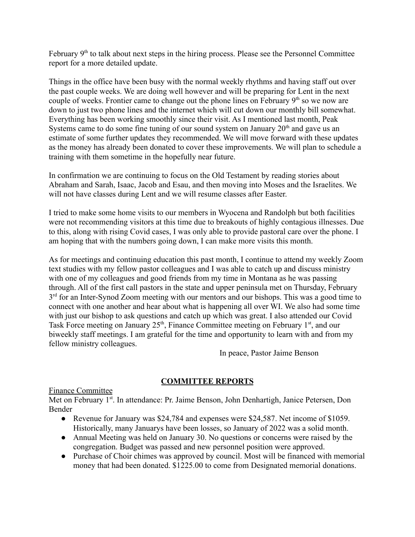February 9<sup>th</sup> to talk about next steps in the hiring process. Please see the Personnel Committee report for a more detailed update.

Things in the office have been busy with the normal weekly rhythms and having staff out over the past couple weeks. We are doing well however and will be preparing for Lent in the next couple of weeks. Frontier came to change out the phone lines on February  $9<sup>th</sup>$  so we now are down to just two phone lines and the internet which will cut down our monthly bill somewhat. Everything has been working smoothly since their visit. As I mentioned last month, Peak Systems came to do some fine tuning of our sound system on January  $20<sup>th</sup>$  and gave us an estimate of some further updates they recommended. We will move forward with these updates as the money has already been donated to cover these improvements. We will plan to schedule a training with them sometime in the hopefully near future.

In confirmation we are continuing to focus on the Old Testament by reading stories about Abraham and Sarah, Isaac, Jacob and Esau, and then moving into Moses and the Israelites. We will not have classes during Lent and we will resume classes after Easter.

I tried to make some home visits to our members in Wyocena and Randolph but both facilities were not recommending visitors at this time due to breakouts of highly contagious illnesses. Due to this, along with rising Covid cases, I was only able to provide pastoral care over the phone. I am hoping that with the numbers going down, I can make more visits this month.

As for meetings and continuing education this past month, I continue to attend my weekly Zoom text studies with my fellow pastor colleagues and I was able to catch up and discuss ministry with one of my colleagues and good friends from my time in Montana as he was passing through. All of the first call pastors in the state and upper peninsula met on Thursday, February 3<sup>rd</sup> for an Inter-Synod Zoom meeting with our mentors and our bishops. This was a good time to connect with one another and hear about what is happening all over WI. We also had some time with just our bishop to ask questions and catch up which was great. I also attended our Covid Task Force meeting on January  $25<sup>th</sup>$ , Finance Committee meeting on February 1<sup>st</sup>, and our biweekly staff meetings. I am grateful for the time and opportunity to learn with and from my fellow ministry colleagues.

In peace, Pastor Jaime Benson

# **COMMITTEE REPORTS**

# Finance Committee

Met on February 1<sup>st</sup>. In attendance: Pr. Jaime Benson, John Denhartigh, Janice Petersen, Don Bender

- Revenue for January was \$24,784 and expenses were \$24,587. Net income of \$1059. Historically, many Januarys have been losses, so January of 2022 was a solid month.
- Annual Meeting was held on January 30. No questions or concerns were raised by the congregation. Budget was passed and new personnel position were approved.
- Purchase of Choir chimes was approved by council. Most will be financed with memorial money that had been donated. \$1225.00 to come from Designated memorial donations.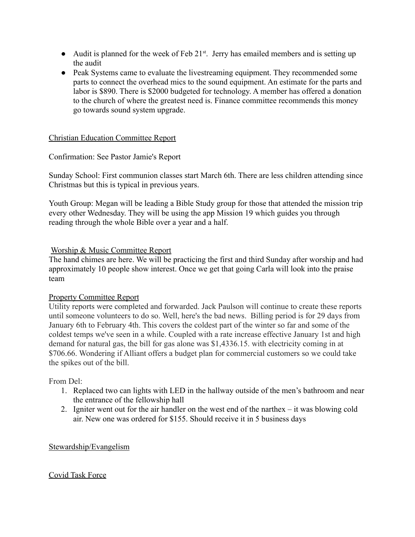- Audit is planned for the week of Feb  $21^{st}$ . Jerry has emailed members and is setting up the audit
- Peak Systems came to evaluate the livestreaming equipment. They recommended some parts to connect the overhead mics to the sound equipment. An estimate for the parts and labor is \$890. There is \$2000 budgeted for technology. A member has offered a donation to the church of where the greatest need is. Finance committee recommends this money go towards sound system upgrade.

#### Christian Education Committee Report

# Confirmation: See Pastor Jamie's Report

Sunday School: First communion classes start March 6th. There are less children attending since Christmas but this is typical in previous years.

Youth Group: Megan will be leading a Bible Study group for those that attended the mission trip every other Wednesday. They will be using the app Mission 19 which guides you through reading through the whole Bible over a year and a half.

# Worship & Music Committee Report

The hand chimes are here. We will be practicing the first and third Sunday after worship and had approximately 10 people show interest. Once we get that going Carla will look into the praise team

#### Property Committee Report

Utility reports were completed and forwarded. Jack Paulson will continue to create these reports until someone volunteers to do so. Well, here's the bad news. Billing period is for 29 days from January 6th to February 4th. This covers the coldest part of the winter so far and some of the coldest temps we've seen in a while. Coupled with a rate increase effective January 1st and high demand for natural gas, the bill for gas alone was \$1,4336.15. with electricity coming in at \$706.66. Wondering if Alliant offers a budget plan for commercial customers so we could take the spikes out of the bill.

#### From Del:

- 1. Replaced two can lights with LED in the hallway outside of the men's bathroom and near the entrance of the fellowship hall
- 2. Igniter went out for the air handler on the west end of the narthex it was blowing cold air. New one was ordered for \$155. Should receive it in 5 business days

#### Stewardship/Evangelism

#### Covid Task Force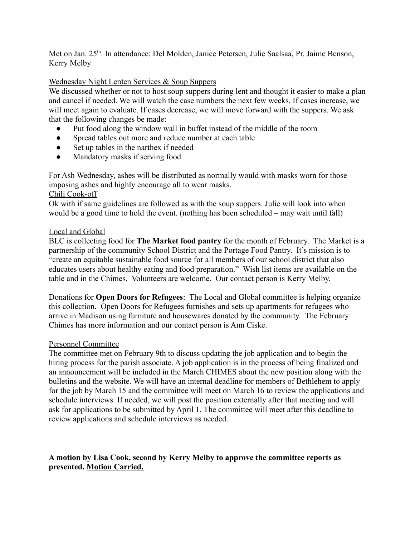Met on Jan. 25<sup>th</sup>. In attendance: Del Molden, Janice Petersen, Julie Saalsaa, Pr. Jaime Benson, Kerry Melby

# Wednesday Night Lenten Services & Soup Suppers

We discussed whether or not to host soup suppers during lent and thought it easier to make a plan and cancel if needed. We will watch the case numbers the next few weeks. If cases increase, we will meet again to evaluate. If cases decrease, we will move forward with the suppers. We ask that the following changes be made:

- Put food along the window wall in buffet instead of the middle of the room
- Spread tables out more and reduce number at each table
- Set up tables in the narthex if needed
- Mandatory masks if serving food

For Ash Wednesday, ashes will be distributed as normally would with masks worn for those imposing ashes and highly encourage all to wear masks.

# Chili Cook-off

Ok with if same guidelines are followed as with the soup suppers. Julie will look into when would be a good time to hold the event. (nothing has been scheduled – may wait until fall)

# Local and Global

BLC is collecting food for **The Market food pantry** for the month of February. The Market is a partnership of the community School District and the Portage Food Pantry. It's mission is to "create an equitable sustainable food source for all members of our school district that also educates users about healthy eating and food preparation." Wish list items are available on the table and in the Chimes. Volunteers are welcome. Our contact person is Kerry Melby.

Donations for **Open Doors for Refugees**: The Local and Global committee is helping organize this collection. Open Doors for Refugees furnishes and sets up apartments for refugees who arrive in Madison using furniture and housewares donated by the community. The February Chimes has more information and our contact person is Ann Ciske.

#### Personnel Committee

The committee met on February 9th to discuss updating the job application and to begin the hiring process for the parish associate. A job application is in the process of being finalized and an announcement will be included in the March CHIMES about the new position along with the bulletins and the website. We will have an internal deadline for members of Bethlehem to apply for the job by March 15 and the committee will meet on March 16 to review the applications and schedule interviews. If needed, we will post the position externally after that meeting and will ask for applications to be submitted by April 1. The committee will meet after this deadline to review applications and schedule interviews as needed.

# **A motion by Lisa Cook, second by Kerry Melby to approve the committee reports as presented. Motion Carried.**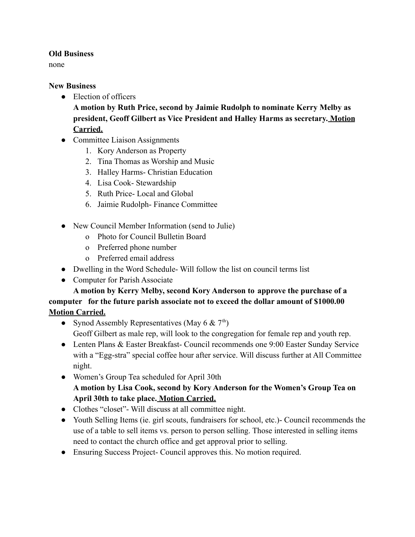# **Old Business**

none

# **New Business**

● Election of officers

**A motion by Ruth Price, second by Jaimie Rudolph to nominate Kerry Melby as president, Geoff Gilbert as Vice President and Halley Harms as secretary. Motion Carried.**

- Committee Liaison Assignments
	- 1. Kory Anderson as Property
	- 2. Tina Thomas as Worship and Music
	- 3. Halley Harms- Christian Education
	- 4. Lisa Cook- Stewardship
	- 5. Ruth Price- Local and Global
	- 6. Jaimie Rudolph- Finance Committee
- New Council Member Information (send to Julie)
	- o Photo for Council Bulletin Board
	- o Preferred phone number
	- o Preferred email address
- Dwelling in the Word Schedule- Will follow the list on council terms list
- Computer for Parish Associate

# **A motion by Kerry Melby, second Kory Anderson to approve the purchase of a computer for the future parish associate not to exceed the dollar amount of \$1000.00 Motion Carried.**

- Synod Assembly Representatives (May 6  $\&$  7<sup>th</sup>) Geoff Gilbert as male rep, will look to the congregation for female rep and youth rep.
- Lenten Plans & Easter Breakfast- Council recommends one 9:00 Easter Sunday Service with a "Egg-stra" special coffee hour after service. Will discuss further at All Committee night.
- Women's Group Tea scheduled for April 30th **A motion by Lisa Cook, second by Kory Anderson for the Women's Group Tea on April 30th to take place. Motion Carried.**
- Clothes "closet"- Will discuss at all committee night.
- Youth Selling Items (ie. girl scouts, fundraisers for school, etc.)- Council recommends the use of a table to sell items vs. person to person selling. Those interested in selling items need to contact the church office and get approval prior to selling.
- Ensuring Success Project- Council approves this. No motion required.